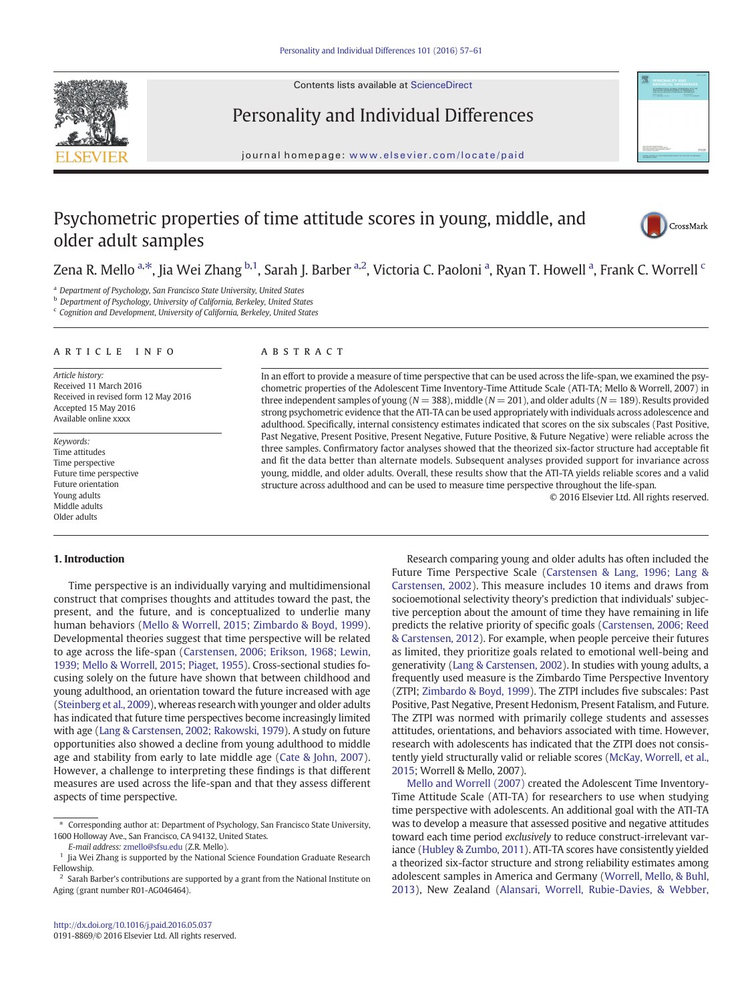Contents lists available at [ScienceDirect](http://www.sciencedirect.com/science/journal/)



Personality and Individual Differences

journal homepage: <www.elsevier.com/locate/paid>

# Psychometric properties of time attitude scores in young, middle, and older adult samples



# Zena R. Mello <sup>a,\*</sup>, Jia Wei Zhang <sup>b,1</sup>, Sarah J. Barber <sup>a,2</sup>, Victoria C. Paoloni <sup>a</sup>, Ryan T. Howell <sup>a</sup>, Frank C. Worrell <sup>c</sup>

<sup>a</sup> Department of Psychology, San Francisco State University, United States

**b** Department of Psychology, University of California, Berkeley, United States

<sup>c</sup> Cognition and Development, University of California, Berkeley, United States

#### article info abstract

Article history: Received 11 March 2016 Received in revised form 12 May 2016 Accepted 15 May 2016 Available online xxxx

Keywords: Time attitudes Time perspective Future time perspective Future orientation Young adults Middle adults Older adults

# 1. Introduction

Time perspective is an individually varying and multidimensional construct that comprises thoughts and attitudes toward the past, the present, and the future, and is conceptualized to underlie many human behaviors ([Mello & Worrell, 2015; Zimbardo & Boyd, 1999](#page-4-0)). Developmental theories suggest that time perspective will be related to age across the life-span ([Carstensen, 2006; Erikson, 1968; Lewin,](#page-4-0) [1939; Mello & Worrell, 2015; Piaget, 1955\)](#page-4-0). Cross-sectional studies focusing solely on the future have shown that between childhood and young adulthood, an orientation toward the future increased with age [\(Steinberg et al., 2009\)](#page-4-0), whereas research with younger and older adults has indicated that future time perspectives become increasingly limited with age ([Lang & Carstensen, 2002; Rakowski, 1979\)](#page-4-0). A study on future opportunities also showed a decline from young adulthood to middle age and stability from early to late middle age ([Cate & John, 2007](#page-4-0)). However, a challenge to interpreting these findings is that different measures are used across the life-span and that they assess different aspects of time perspective.

In an effort to provide a measure of time perspective that can be used across the life-span, we examined the psychometric properties of the Adolescent Time Inventory-Time Attitude Scale (ATI-TA; Mello & Worrell, 2007) in three independent samples of young ( $N = 388$ ), middle ( $N = 201$ ), and older adults ( $N = 189$ ). Results provided strong psychometric evidence that the ATI-TA can be used appropriately with individuals across adolescence and adulthood. Specifically, internal consistency estimates indicated that scores on the six subscales (Past Positive, Past Negative, Present Positive, Present Negative, Future Positive, & Future Negative) were reliable across the three samples. Confirmatory factor analyses showed that the theorized six-factor structure had acceptable fit and fit the data better than alternate models. Subsequent analyses provided support for invariance across young, middle, and older adults. Overall, these results show that the ATI-TA yields reliable scores and a valid structure across adulthood and can be used to measure time perspective throughout the life-span.

© 2016 Elsevier Ltd. All rights reserved.

Research comparing young and older adults has often included the Future Time Perspective Scale ([Carstensen & Lang, 1996; Lang &](#page-4-0) [Carstensen, 2002\)](#page-4-0). This measure includes 10 items and draws from socioemotional selectivity theory's prediction that individuals' subjective perception about the amount of time they have remaining in life predicts the relative priority of specific goals [\(Carstensen, 2006; Reed](#page-4-0) [& Carstensen, 2012](#page-4-0)). For example, when people perceive their futures as limited, they prioritize goals related to emotional well-being and generativity ([Lang & Carstensen, 2002](#page-4-0)). In studies with young adults, a frequently used measure is the Zimbardo Time Perspective Inventory (ZTPI; [Zimbardo & Boyd, 1999\)](#page-4-0). The ZTPI includes five subscales: Past Positive, Past Negative, Present Hedonism, Present Fatalism, and Future. The ZTPI was normed with primarily college students and assesses attitudes, orientations, and behaviors associated with time. However, research with adolescents has indicated that the ZTPI does not consistently yield structurally valid or reliable scores ([McKay, Worrell, et al.,](#page-4-0) [2015](#page-4-0); Worrell & Mello, 2007).

[Mello and Worrell \(2007\)](#page-4-0) created the Adolescent Time Inventory-Time Attitude Scale (ATI-TA) for researchers to use when studying time perspective with adolescents. An additional goal with the ATI-TA was to develop a measure that assessed positive and negative attitudes toward each time period exclusively to reduce construct-irrelevant variance [\(Hubley & Zumbo, 2011](#page-4-0)). ATI-TA scores have consistently yielded a theorized six-factor structure and strong reliability estimates among adolescent samples in America and Germany [\(Worrell, Mello, & Buhl,](#page-4-0) [2013\)](#page-4-0), New Zealand [\(Alansari, Worrell, Rubie-Davies, & Webber,](#page-4-0)

<sup>⁎</sup> Corresponding author at: Department of Psychology, San Francisco State University, 1600 Holloway Ave., San Francisco, CA 94132, United States.

E-mail address: [zmello@sfsu.edu](mailto:zmello@sfsu.edu) (Z.R. Mello).

 $^{\rm 1}$  Jia Wei Zhang is supported by the National Science Foundation Graduate Research Fellowship.

<sup>&</sup>lt;sup>2</sup> Sarah Barber's contributions are supported by a grant from the National Institute on Aging (grant number R01-AG046464).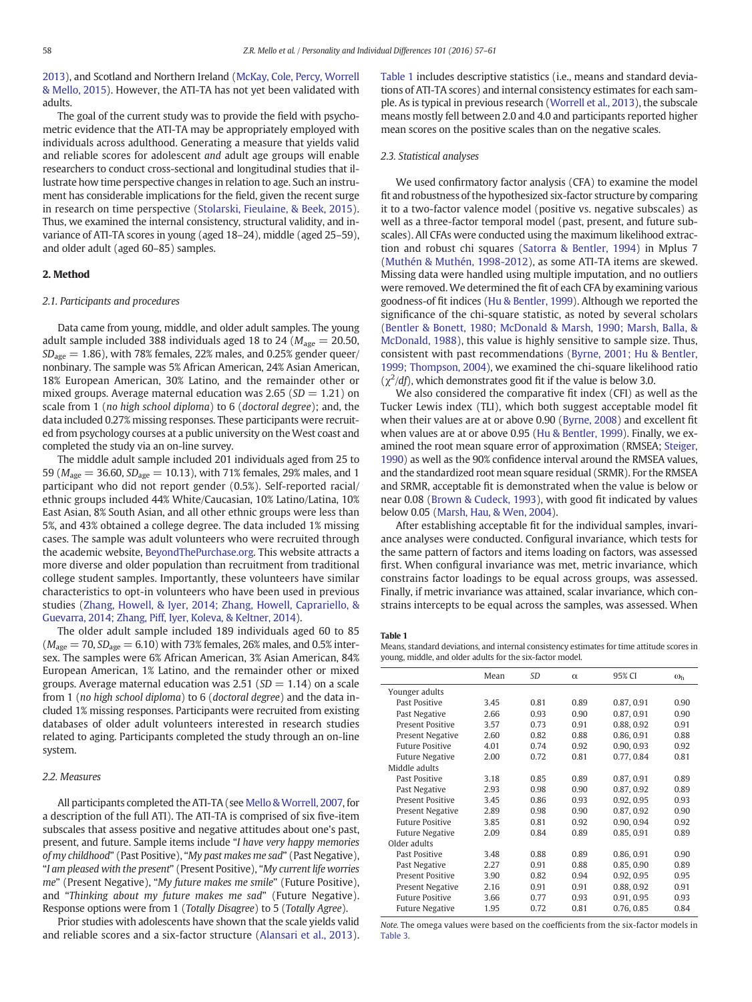<span id="page-1-0"></span>[2013\)](#page-4-0), and Scotland and Northern Ireland [\(McKay, Cole, Percy, Worrell](#page-4-0) [& Mello, 2015](#page-4-0)). However, the ATI-TA has not yet been validated with adults.

The goal of the current study was to provide the field with psychometric evidence that the ATI-TA may be appropriately employed with individuals across adulthood. Generating a measure that yields valid and reliable scores for adolescent and adult age groups will enable researchers to conduct cross-sectional and longitudinal studies that illustrate how time perspective changes in relation to age. Such an instrument has considerable implications for the field, given the recent surge in research on time perspective ([Stolarski, Fieulaine, & Beek, 2015](#page-4-0)). Thus, we examined the internal consistency, structural validity, and invariance of ATI-TA scores in young (aged 18–24), middle (aged 25–59), and older adult (aged 60–85) samples.

## 2. Method

#### 2.1. Participants and procedures

Data came from young, middle, and older adult samples. The young adult sample included 388 individuals aged 18 to 24 ( $M_{\text{age}} = 20.50$ ,  $SD<sub>age</sub> = 1.86$ , with 78% females, 22% males, and 0.25% gender queer/ nonbinary. The sample was 5% African American, 24% Asian American, 18% European American, 30% Latino, and the remainder other or mixed groups. Average maternal education was 2.65 ( $SD = 1.21$ ) on scale from 1 (no high school diploma) to 6 (doctoral degree); and, the data included 0.27% missing responses. These participants were recruited from psychology courses at a public university on the West coast and completed the study via an on-line survey.

The middle adult sample included 201 individuals aged from 25 to 59 ( $M_{\text{age}} = 36.60$ ,  $SD_{\text{age}} = 10.13$ ), with 71% females, 29% males, and 1 participant who did not report gender (0.5%). Self-reported racial/ ethnic groups included 44% White/Caucasian, 10% Latino/Latina, 10% East Asian, 8% South Asian, and all other ethnic groups were less than 5%, and 43% obtained a college degree. The data included 1% missing cases. The sample was adult volunteers who were recruited through the academic website, [BeyondThePurchase.org.](http://BeyondThePurchase.org) This website attracts a more diverse and older population than recruitment from traditional college student samples. Importantly, these volunteers have similar characteristics to opt-in volunteers who have been used in previous studies [\(Zhang, Howell, & Iyer, 2014; Zhang, Howell, Caprariello, &](#page-4-0) [Guevarra, 2014; Zhang, Piff, Iyer, Koleva, & Keltner, 2014](#page-4-0)).

The older adult sample included 189 individuals aged 60 to 85  $(M<sub>age</sub> = 70, SD<sub>age</sub> = 6.10)$  with 73% females, 26% males, and 0.5% intersex. The samples were 6% African American, 3% Asian American, 84% European American, 1% Latino, and the remainder other or mixed groups. Average maternal education was 2.51 ( $SD = 1.14$ ) on a scale from 1 (no high school diploma) to 6 (doctoral degree) and the data included 1% missing responses. Participants were recruited from existing databases of older adult volunteers interested in research studies related to aging. Participants completed the study through an on-line system.

#### 2.2. Measures

All participants completed the ATI-TA (see [Mello & Worrell, 2007](#page-4-0), for a description of the full ATI). The ATI-TA is comprised of six five-item subscales that assess positive and negative attitudes about one's past, present, and future. Sample items include "I have very happy memories of my childhood" (Past Positive), "My past makes me sad" (Past Negative), "I am pleased with the present" (Present Positive), "My current life worries me" (Present Negative), "My future makes me smile" (Future Positive), and "Thinking about my future makes me sad" (Future Negative). Response options were from 1 (Totally Disagree) to 5 (Totally Agree).

Prior studies with adolescents have shown that the scale yields valid and reliable scores and a six-factor structure ([Alansari et al., 2013](#page-4-0)). Table 1 includes descriptive statistics (i.e., means and standard deviations of ATI-TA scores) and internal consistency estimates for each sample. As is typical in previous research ([Worrell et al., 2013\)](#page-4-0), the subscale means mostly fell between 2.0 and 4.0 and participants reported higher mean scores on the positive scales than on the negative scales.

## 2.3. Statistical analyses

We used confirmatory factor analysis (CFA) to examine the model fit and robustness of the hypothesized six-factor structure by comparing it to a two-factor valence model (positive vs. negative subscales) as well as a three-factor temporal model (past, present, and future subscales). All CFAs were conducted using the maximum likelihood extraction and robust chi squares [\(Satorra & Bentler, 1994\)](#page-4-0) in Mplus 7 [\(Muthén & Muthén, 1998-2012](#page-4-0)), as some ATI-TA items are skewed. Missing data were handled using multiple imputation, and no outliers were removed. We determined the fit of each CFA by examining various goodness-of fit indices ([Hu & Bentler, 1999\)](#page-4-0). Although we reported the significance of the chi-square statistic, as noted by several scholars [\(Bentler & Bonett, 1980; McDonald & Marsh, 1990; Marsh, Balla, &](#page-4-0) [McDonald, 1988\)](#page-4-0), this value is highly sensitive to sample size. Thus, consistent with past recommendations ([Byrne, 2001; Hu & Bentler,](#page-4-0) [1999; Thompson, 2004](#page-4-0)), we examined the chi-square likelihood ratio  $(\chi^2/df)$ , which demonstrates good fit if the value is below 3.0.

We also considered the comparative fit index (CFI) as well as the Tucker Lewis index (TLI), which both suggest acceptable model fit when their values are at or above 0.90 ([Byrne, 2008\)](#page-4-0) and excellent fit when values are at or above 0.95 [\(Hu & Bentler, 1999](#page-4-0)). Finally, we examined the root mean square error of approximation (RMSEA; [Steiger,](#page-4-0) [1990\)](#page-4-0) as well as the 90% confidence interval around the RMSEA values, and the standardized root mean square residual (SRMR). For the RMSEA and SRMR, acceptable fit is demonstrated when the value is below or near 0.08 ([Brown & Cudeck, 1993\)](#page-4-0), with good fit indicated by values below 0.05 [\(Marsh, Hau, & Wen, 2004](#page-4-0)).

After establishing acceptable fit for the individual samples, invariance analyses were conducted. Configural invariance, which tests for the same pattern of factors and items loading on factors, was assessed first. When configural invariance was met, metric invariance, which constrains factor loadings to be equal across groups, was assessed. Finally, if metric invariance was attained, scalar invariance, which constrains intercepts to be equal across the samples, was assessed. When

#### Table 1

Means, standard deviations, and internal consistency estimates for time attitude scores in young, middle, and older adults for the six-factor model.

|                         | Mean | SD   | $\alpha$ | 95% CI     | $\omega_{h}$ |
|-------------------------|------|------|----------|------------|--------------|
| Younger adults          |      |      |          |            |              |
| <b>Past Positive</b>    | 3.45 | 0.81 | 0.89     | 0.87, 0.91 | 0.90         |
| Past Negative           | 2.66 | 0.93 | 0.90     | 0.87, 0.91 | 0.90         |
| <b>Present Positive</b> | 3.57 | 0.73 | 0.91     | 0.88, 0.92 | 0.91         |
| <b>Present Negative</b> | 2.60 | 0.82 | 0.88     | 0.86, 0.91 | 0.88         |
| <b>Future Positive</b>  | 4.01 | 0.74 | 0.92     | 0.90, 0.93 | 0.92         |
| <b>Future Negative</b>  | 2.00 | 0.72 | 0.81     | 0.77, 0.84 | 0.81         |
| Middle adults           |      |      |          |            |              |
| Past Positive           | 3.18 | 0.85 | 0.89     | 0.87, 0.91 | 0.89         |
| Past Negative           | 2.93 | 0.98 | 0.90     | 0.87, 0.92 | 0.89         |
| <b>Present Positive</b> | 3.45 | 0.86 | 0.93     | 0.92, 0.95 | 0.93         |
| <b>Present Negative</b> | 2.89 | 0.98 | 0.90     | 0.87, 0.92 | 0.90         |
| <b>Future Positive</b>  | 3.85 | 0.81 | 0.92     | 0.90, 0.94 | 0.92         |
| <b>Future Negative</b>  | 2.09 | 0.84 | 0.89     | 0.85, 0.91 | 0.89         |
| Older adults            |      |      |          |            |              |
| <b>Past Positive</b>    | 3.48 | 0.88 | 0.89     | 0.86, 0.91 | 0.90         |
| Past Negative           | 2.27 | 0.91 | 0.88     | 0.85, 0.90 | 0.89         |
| <b>Present Positive</b> | 3.90 | 0.82 | 0.94     | 0.92, 0.95 | 0.95         |
| Present Negative        | 2.16 | 0.91 | 0.91     | 0.88, 0.92 | 0.91         |
| <b>Future Positive</b>  | 3.66 | 0.77 | 0.93     | 0.91, 0.95 | 0.93         |
| <b>Future Negative</b>  | 1.95 | 0.72 | 0.81     | 0.76, 0.85 | 0.84         |
|                         |      |      |          |            |              |

Note. The omega values were based on the coefficients from the six-factor models in [Table 3](#page-3-0).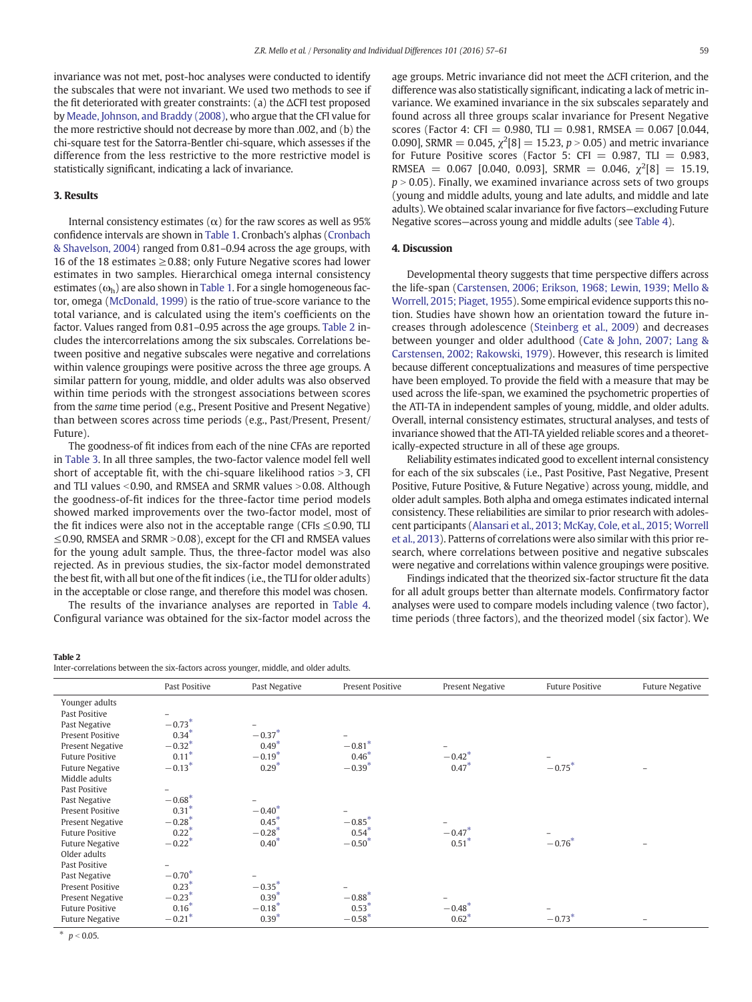invariance was not met, post-hoc analyses were conducted to identify the subscales that were not invariant. We used two methods to see if the fit deteriorated with greater constraints: (a) the ΔCFI test proposed by [Meade, Johnson, and Braddy \(2008\),](#page-4-0) who argue that the CFI value for the more restrictive should not decrease by more than .002, and (b) the chi-square test for the Satorra-Bentler chi-square, which assesses if the difference from the less restrictive to the more restrictive model is statistically significant, indicating a lack of invariance.

### 3. Results

Internal consistency estimates ( $α$ ) for the raw scores as well as 95% confidence intervals are shown in [Table 1.](#page-1-0) Cronbach's alphas ([Cronbach](#page-4-0) [& Shavelson, 2004\)](#page-4-0) ranged from 0.81–0.94 across the age groups, with 16 of the 18 estimates  $\geq$  0.88; only Future Negative scores had lower estimates in two samples. Hierarchical omega internal consistency estimates ( $\omega_{h}$ ) are also shown in [Table 1.](#page-1-0) For a single homogeneous factor, omega ([McDonald, 1999](#page-4-0)) is the ratio of true-score variance to the total variance, and is calculated using the item's coefficients on the factor. Values ranged from 0.81–0.95 across the age groups. Table 2 includes the intercorrelations among the six subscales. Correlations between positive and negative subscales were negative and correlations within valence groupings were positive across the three age groups. A similar pattern for young, middle, and older adults was also observed within time periods with the strongest associations between scores from the same time period (e.g., Present Positive and Present Negative) than between scores across time periods (e.g., Past/Present, Present/ Future).

The goodness-of fit indices from each of the nine CFAs are reported in [Table 3.](#page-3-0) In all three samples, the two-factor valence model fell well short of acceptable fit, with the chi-square likelihood ratios  $>3$ , CFI and TLI values  $<$  0.90, and RMSEA and SRMR values  $>$  0.08. Although the goodness-of-fit indices for the three-factor time period models showed marked improvements over the two-factor model, most of the fit indices were also not in the acceptable range (CFIs  $\leq$  0.90, TLI  $\leq$ 0.90, RMSEA and SRMR > 0.08), except for the CFI and RMSEA values for the young adult sample. Thus, the three-factor model was also rejected. As in previous studies, the six-factor model demonstrated the best fit, with all but one of the fit indices (i.e., the TLI for older adults) in the acceptable or close range, and therefore this model was chosen.

The results of the invariance analyses are reported in [Table 4.](#page-3-0) Configural variance was obtained for the six-factor model across the

Table 2 Inter-correlations between the six-factors across younger, middle, and older adults. age groups. Metric invariance did not meet the ΔCFI criterion, and the difference was also statistically significant, indicating a lack of metric invariance. We examined invariance in the six subscales separately and found across all three groups scalar invariance for Present Negative scores (Factor 4: CFI = 0.980, TLI = 0.981, RMSEA = 0.067 [0.044, 0.090], SRMR = 0.045,  $\chi^2[8] = 15.23$ ,  $p > 0.05$ ) and metric invariance for Future Positive scores (Factor 5: CFI =  $0.987$ , TLI =  $0.983$ , RMSEA =  $0.067$  [0.040, 0.093], SRMR =  $0.046$ ,  $\chi^2[8] = 15.19$ ,  $p > 0.05$ ). Finally, we examined invariance across sets of two groups (young and middle adults, young and late adults, and middle and late adults). We obtained scalar invariance for five factors—excluding Future Negative scores—across young and middle adults (see [Table 4](#page-3-0)).

# 4. Discussion

Developmental theory suggests that time perspective differs across the life-span [\(Carstensen, 2006; Erikson, 1968; Lewin, 1939; Mello &](#page-4-0) [Worrell, 2015; Piaget, 1955\)](#page-4-0). Some empirical evidence supports this notion. Studies have shown how an orientation toward the future increases through adolescence [\(Steinberg et al., 2009\)](#page-4-0) and decreases between younger and older adulthood [\(Cate & John, 2007; Lang &](#page-4-0) [Carstensen, 2002; Rakowski, 1979](#page-4-0)). However, this research is limited because different conceptualizations and measures of time perspective have been employed. To provide the field with a measure that may be used across the life-span, we examined the psychometric properties of the ATI-TA in independent samples of young, middle, and older adults. Overall, internal consistency estimates, structural analyses, and tests of invariance showed that the ATI-TA yielded reliable scores and a theoretically-expected structure in all of these age groups.

Reliability estimates indicated good to excellent internal consistency for each of the six subscales (i.e., Past Positive, Past Negative, Present Positive, Future Positive, & Future Negative) across young, middle, and older adult samples. Both alpha and omega estimates indicated internal consistency. These reliabilities are similar to prior research with adolescent participants [\(Alansari et al., 2013; McKay, Cole, et al., 2015; Worrell](#page-4-0) [et al., 2013](#page-4-0)). Patterns of correlations were also similar with this prior research, where correlations between positive and negative subscales were negative and correlations within valence groupings were positive.

Findings indicated that the theorized six-factor structure fit the data for all adult groups better than alternate models. Confirmatory factor analyses were used to compare models including valence (two factor), time periods (three factors), and the theorized model (six factor). We

|                        | Past Positive        | Past Negative | Present Positive     | Present Negative     | <b>Future Positive</b> | <b>Future Negative</b> |
|------------------------|----------------------|---------------|----------------------|----------------------|------------------------|------------------------|
| Younger adults         |                      |               |                      |                      |                        |                        |
| Past Positive          |                      |               |                      |                      |                        |                        |
| Past Negative          | $-0.73*$             |               |                      |                      |                        |                        |
| Present Positive       | $0.34*$              | $-0.37*$      |                      |                      |                        |                        |
| Present Negative       | $-0.32*$             | $0.49*$       | $-0.81$ <sup>*</sup> |                      |                        |                        |
| <b>Future Positive</b> | $0.11*$              | $-0.19*$      | $0.46*$              | $-0.42$ <sup>*</sup> |                        |                        |
| <b>Future Negative</b> | $-0.13*$             | $0.29*$       | $-0.39*$             | $0.47*$              | $-0.75$ <sup>*</sup>   |                        |
| Middle adults          |                      |               |                      |                      |                        |                        |
| Past Positive          |                      |               |                      |                      |                        |                        |
| Past Negative          | $-0.68*$             |               |                      |                      |                        |                        |
| Present Positive       | $0.31*$              | $-0.40*$      |                      |                      |                        |                        |
| Present Negative       | $-0.28*$             | $0.45*$       | $-0.85*$             |                      |                        |                        |
| <b>Future Positive</b> | $0.22*$              | $-0.28*$      | $0.54*$              | $-0.47*$             |                        |                        |
| <b>Future Negative</b> | $-0.22$ <sup>*</sup> | $0.40*$       | $-0.50*$             | $0.51*$              | $-0.76*$               |                        |
| Older adults           |                      |               |                      |                      |                        |                        |
| Past Positive          |                      |               |                      |                      |                        |                        |
| Past Negative          | $-0.70*$             |               |                      |                      |                        |                        |
| Present Positive       | $0.23*$              | $-0.35*$      |                      |                      |                        |                        |
| Present Negative       | $-0.23*$             | $0.39*$       | $-0.88*$             |                      |                        |                        |
| <b>Future Positive</b> | $0.16*$              | $-0.18*$      | $0.53*$              | $-0.48*$             |                        |                        |
| <b>Future Negative</b> | $-0.21$ <sup>*</sup> | $0.39*$       | $-0.58*$             | $0.62*$              | $-0.73*$               |                        |

\*  $p < 0.05$ .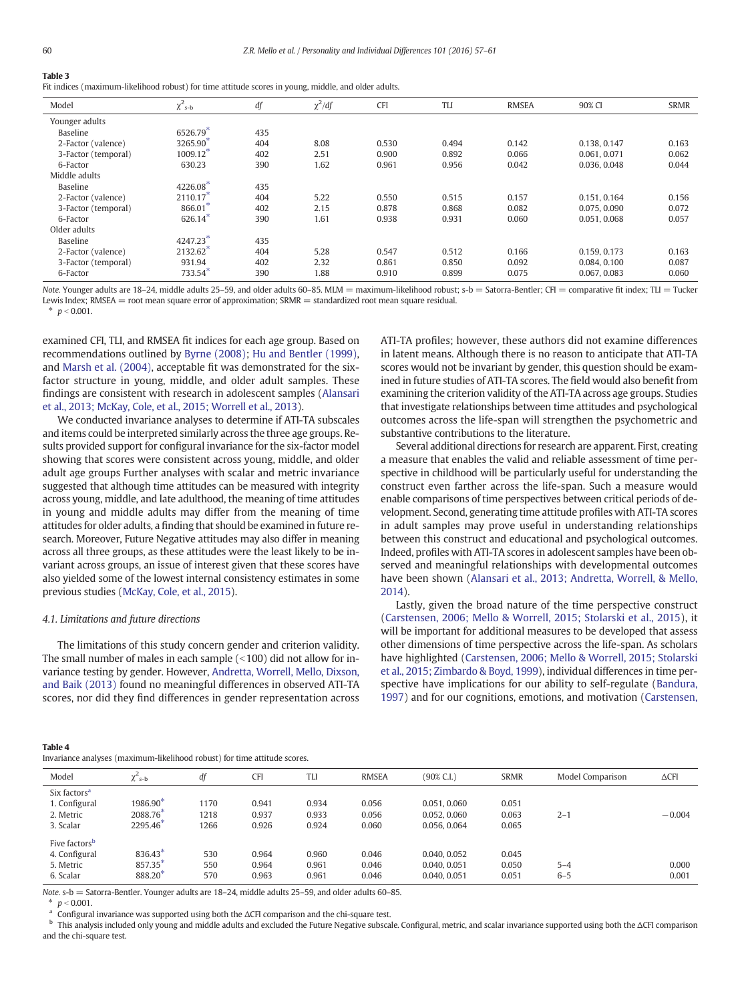# <span id="page-3-0"></span>Table 3

Fit indices (maximum-likelihood robust) for time attitude scores in young, middle, and older adults.

| Model               | $\chi^2$ <sub>s-b</sub> | df  | $\chi^2/df$ | <b>CFI</b> | <b>TLI</b> | <b>RMSEA</b> | 90% CI       | <b>SRMR</b> |
|---------------------|-------------------------|-----|-------------|------------|------------|--------------|--------------|-------------|
| Younger adults      |                         |     |             |            |            |              |              |             |
| Baseline            | 6526.79                 | 435 |             |            |            |              |              |             |
| 2-Factor (valence)  | 3265.90                 | 404 | 8.08        | 0.530      | 0.494      | 0.142        | 0.138, 0.147 | 0.163       |
| 3-Factor (temporal) | 1009.12*                | 402 | 2.51        | 0.900      | 0.892      | 0.066        | 0.061, 0.071 | 0.062       |
| 6-Factor            | 630.23                  | 390 | 1.62        | 0.961      | 0.956      | 0.042        | 0.036, 0.048 | 0.044       |
| Middle adults       |                         |     |             |            |            |              |              |             |
| Baseline            | 4226.08*                | 435 |             |            |            |              |              |             |
| 2-Factor (valence)  | $2110.17*$              | 404 | 5.22        | 0.550      | 0.515      | 0.157        | 0.151, 0.164 | 0.156       |
| 3-Factor (temporal) | 866.01*                 | 402 | 2.15        | 0.878      | 0.868      | 0.082        | 0.075, 0.090 | 0.072       |
| 6-Factor            | $626.14*$               | 390 | 1.61        | 0.938      | 0.931      | 0.060        | 0.051, 0.068 | 0.057       |
| Older adults        |                         |     |             |            |            |              |              |             |
| Baseline            | 4247.23*                | 435 |             |            |            |              |              |             |
| 2-Factor (valence)  | 2132.62*                | 404 | 5.28        | 0.547      | 0.512      | 0.166        | 0.159, 0.173 | 0.163       |
| 3-Factor (temporal) | 931.94                  | 402 | 2.32        | 0.861      | 0.850      | 0.092        | 0.084, 0.100 | 0.087       |
| 6-Factor            | $733.54$ <sup>*</sup>   | 390 | 1.88        | 0.910      | 0.899      | 0.075        | 0.067, 0.083 | 0.060       |

Note. Younger adults are 18–24, middle adults 25–59, and older adults 60–85. MLM = maximum-likelihood robust; s-b = Satorra-Bentler; CFI = comparative fit index; TLI = Tucker Lewis Index; RMSEA = root mean square error of approximation; SRMR = standardized root mean square residual.

 $p < 0.001$ .

examined CFI, TLI, and RMSEA fit indices for each age group. Based on recommendations outlined by [Byrne \(2008\)](#page-4-0); [Hu and Bentler \(1999\),](#page-4-0) and [Marsh et al. \(2004\),](#page-4-0) acceptable fit was demonstrated for the sixfactor structure in young, middle, and older adult samples. These findings are consistent with research in adolescent samples [\(Alansari](#page-4-0) [et al., 2013; McKay, Cole, et al., 2015; Worrell et al., 2013\)](#page-4-0).

We conducted invariance analyses to determine if ATI-TA subscales and items could be interpreted similarly across the three age groups. Results provided support for configural invariance for the six-factor model showing that scores were consistent across young, middle, and older adult age groups Further analyses with scalar and metric invariance suggested that although time attitudes can be measured with integrity across young, middle, and late adulthood, the meaning of time attitudes in young and middle adults may differ from the meaning of time attitudes for older adults, a finding that should be examined in future research. Moreover, Future Negative attitudes may also differ in meaning across all three groups, as these attitudes were the least likely to be invariant across groups, an issue of interest given that these scores have also yielded some of the lowest internal consistency estimates in some previous studies [\(McKay, Cole, et al., 2015\)](#page-4-0).

#### 4.1. Limitations and future directions

The limitations of this study concern gender and criterion validity. The small number of males in each sample  $($  < 100) did not allow for invariance testing by gender. However, [Andretta, Worrell, Mello, Dixson,](#page-4-0) [and Baik \(2013\)](#page-4-0) found no meaningful differences in observed ATI-TA scores, nor did they find differences in gender representation across ATI-TA profiles; however, these authors did not examine differences in latent means. Although there is no reason to anticipate that ATI-TA scores would not be invariant by gender, this question should be examined in future studies of ATI-TA scores. The field would also benefit from examining the criterion validity of the ATI-TA across age groups. Studies that investigate relationships between time attitudes and psychological outcomes across the life-span will strengthen the psychometric and substantive contributions to the literature.

Several additional directions for research are apparent. First, creating a measure that enables the valid and reliable assessment of time perspective in childhood will be particularly useful for understanding the construct even farther across the life-span. Such a measure would enable comparisons of time perspectives between critical periods of development. Second, generating time attitude profiles with ATI-TA scores in adult samples may prove useful in understanding relationships between this construct and educational and psychological outcomes. Indeed, profiles with ATI-TA scores in adolescent samples have been observed and meaningful relationships with developmental outcomes have been shown [\(Alansari et al., 2013; Andretta, Worrell, & Mello,](#page-4-0) [2014\)](#page-4-0).

Lastly, given the broad nature of the time perspective construct [\(Carstensen, 2006; Mello & Worrell, 2015; Stolarski et al., 2015](#page-4-0)), it will be important for additional measures to be developed that assess other dimensions of time perspective across the life-span. As scholars have highlighted ([Carstensen, 2006; Mello & Worrell, 2015; Stolarski](#page-4-0) [et al., 2015; Zimbardo & Boyd, 1999](#page-4-0)), individual differences in time perspective have implications for our ability to self-regulate [\(Bandura,](#page-4-0) [1997](#page-4-0)) and for our cognitions, emotions, and motivation ([Carstensen,](#page-4-0)

#### Table 4

Invariance analyses (maximum-likelihood robust) for time attitude scores.

| Model                                                                | $\chi^2$ <sub>s-b</sub>                  | df                   | <b>CFI</b>              | TLI                     | <b>RMSEA</b>            | (90% C.I.)                                   | <b>SRMR</b>             | Model Comparison   | $\Delta$ CFI   |
|----------------------------------------------------------------------|------------------------------------------|----------------------|-------------------------|-------------------------|-------------------------|----------------------------------------------|-------------------------|--------------------|----------------|
| Six factors <sup>a</sup><br>1. Configural<br>2. Metric<br>3. Scalar  | 1986.90 $^{\circ}$<br>2088.76<br>2295.46 | 1170<br>1218<br>1266 | 0.941<br>0.937<br>0.926 | 0.934<br>0.933<br>0.924 | 0.056<br>0.056<br>0.060 | 0.051, 0.060<br>0.052, 0.060<br>0.056, 0.064 | 0.051<br>0.063<br>0.065 | $2 - 1$            | $-0.004$       |
| Five factors <sup>b</sup><br>4. Configural<br>5. Metric<br>6. Scalar | 836.43<br>857.35<br>888.20               | 530<br>550<br>570    | 0.964<br>0.964<br>0.963 | 0.960<br>0.961<br>0.961 | 0.046<br>0.046<br>0.046 | 0.040, 0.052<br>0.040, 0.051<br>0.040, 0.051 | 0.045<br>0.050<br>0.051 | $5 - 4$<br>$6 - 5$ | 0.000<br>0.001 |

Note. s-b = Satorra-Bentler. Younger adults are 18–24, middle adults 25–59, and older adults 60–85.

 $p < 0.001$ .

a Configural invariance was supported using both the ΔCFI comparison and the chi-square test.

b This analysis included only young and middle adults and excluded the Future Negative subscale. Configural, metric, and scalar invariance supported using both the ΔCFI comparison and the chi-square test.